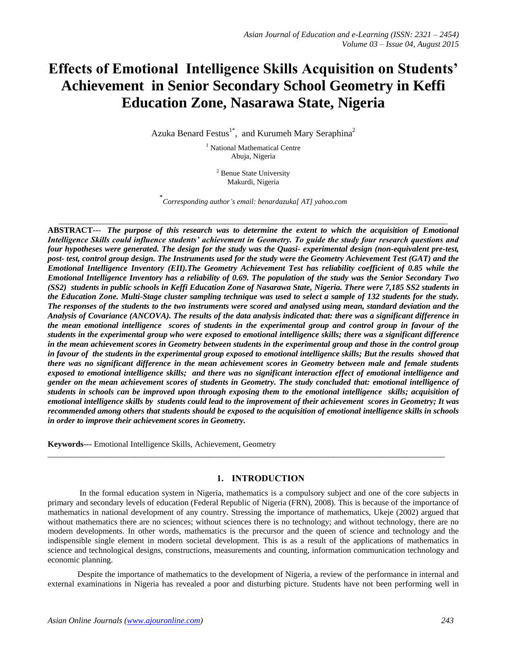# **Effects of Emotional Intelligence Skills Acquisition on Students' Achievement in Senior Secondary School Geometry in Keffi Education Zone, Nasarawa State, Nigeria**

Azuka Benard Festus<sup>1\*</sup>, and Kurumeh Mary Seraphina<sup>2</sup>

<sup>1</sup> National Mathematical Centre Abuja, Nigeria

<sup>2</sup> Benue State University Makurdi, Nigeria

\* *Corresponding author's email: benardazuka[ AT] yahoo.com*

 $\_$  ,  $\_$  ,  $\_$  ,  $\_$  ,  $\_$  ,  $\_$  ,  $\_$  ,  $\_$  ,  $\_$  ,  $\_$  ,  $\_$  ,  $\_$  ,  $\_$  ,  $\_$  ,  $\_$  ,  $\_$  ,  $\_$  ,  $\_$  ,  $\_$  ,  $\_$  ,  $\_$  ,  $\_$  ,  $\_$  ,  $\_$  ,  $\_$  ,  $\_$  ,  $\_$  ,  $\_$  ,  $\_$  ,  $\_$  ,  $\_$  ,  $\_$  ,  $\_$  ,  $\_$  ,  $\_$  ,  $\_$  ,  $\_$  ,

**ABSTRACT---** *The purpose of this research was to determine the extent to which the acquisition of Emotional Intelligence Skills could influence students' achievement in Geometry. To guide the study four research questions and four hypotheses were generated. The design for the study was the Quasi- experimental design (non-equivalent pre-test, post- test, control group design. The Instruments used for the study were the Geometry Achievement Test (GAT) and the Emotional Intelligence Inventory (EII).The Geometry Achievement Test has reliability coefficient of 0.85 while the Emotional Intelligence Inventory has a reliability of 0.69. The population of the study was the Senior Secondary Two (SS2) students in public schools in Keffi Education Zone of Nasarawa State, Nigeria. There were 7,185 SS2 students in the Education Zone. Multi-Stage cluster sampling technique was used to select a sample of 132 students for the study. The responses of the students to the two instruments were scored and analysed using mean, standard deviation and the Analysis of Covariance (ANCOVA). The results of the data analysis indicated that: there was a significant difference in the mean emotional intelligence scores of students in the experimental group and control group in favour of the students in the experimental group who were exposed to emotional intelligence skills; there was a significant difference in the mean achievement scores in Geometry between students in the experimental group and those in the control group in favour of the students in the experimental group exposed to emotional intelligence skills; But the results showed that there was no significant difference in the mean achievement scores in Geometry between male and female students exposed to emotional intelligence skills; and there was no significant interaction effect of emotional intelligence and gender on the mean achievement scores of students in Geometry. The study concluded that: emotional intelligence of students in schools can be improved upon through exposing them to the emotional intelligence skills; acquisition of emotional intelligence skills by students could lead to the improvement of their achievement scores in Geometry; It was recommended among others that students should be exposed to the acquisition of emotional intelligence skills in schools in order to improve their achievement scores in Geometry.*

**Keywords---** Emotional Intelligence Skills, Achievement, Geometry

# **1. INTRODUCTION**

 $\_$  ,  $\_$  ,  $\_$  ,  $\_$  ,  $\_$  ,  $\_$  ,  $\_$  ,  $\_$  ,  $\_$  ,  $\_$  ,  $\_$  ,  $\_$  ,  $\_$  ,  $\_$  ,  $\_$  ,  $\_$  ,  $\_$  ,  $\_$  ,  $\_$  ,  $\_$  ,  $\_$  ,  $\_$  ,  $\_$  ,  $\_$  ,  $\_$  ,  $\_$  ,  $\_$  ,  $\_$  ,  $\_$  ,  $\_$  ,  $\_$  ,  $\_$  ,  $\_$  ,  $\_$  ,  $\_$  ,  $\_$  ,  $\_$  ,

In the formal education system in Nigeria, mathematics is a compulsory subject and one of the core subjects in primary and secondary levels of education (Federal Republic of Nigeria (FRN), 2008). This is because of the importance of mathematics in national development of any country. Stressing the importance of mathematics, Ukeje (2002) argued that without mathematics there are no sciences; without sciences there is no technology; and without technology, there are no modern developments. In other words, mathematics is the precursor and the queen of science and technology and the indispensible single element in modern societal development. This is as a result of the applications of mathematics in science and technological designs, constructions, measurements and counting, information communication technology and economic planning.

Despite the importance of mathematics to the development of Nigeria, a review of the performance in internal and external examinations in Nigeria has revealed a poor and disturbing picture. Students have not been performing well in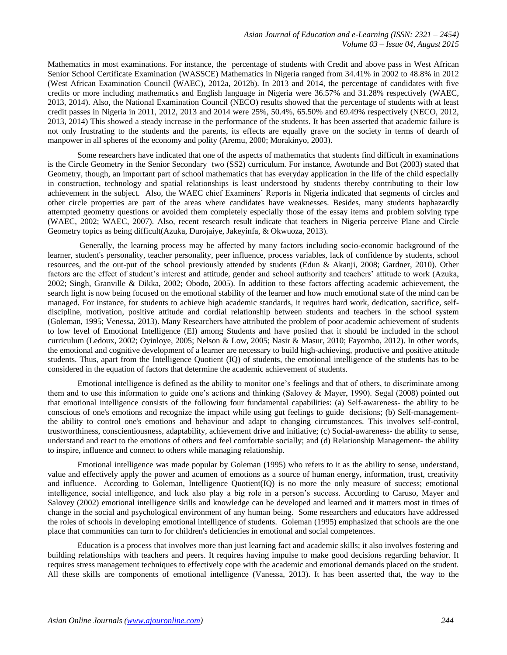Mathematics in most examinations. For instance, the percentage of students with Credit and above pass in West African Senior School Certificate Examination (WASSCE) Mathematics in Nigeria ranged from 34.41% in 2002 to 48.8% in 2012 (West African Examination Council (WAEC), 2012a, 2012b). In 2013 and 2014, the percentage of candidates with five credits or more including mathematics and English language in Nigeria were 36.57% and 31.28% respectively (WAEC, 2013, 2014). Also, the National Examination Council (NECO) results showed that the percentage of students with at least credit passes in Nigeria in 2011, 2012, 2013 and 2014 were 25%, 50.4%, 65.50% and 69.49% respectively (NECO, 2012, 2013, 2014) This showed a steady increase in the performance of the students. It has been asserted that academic failure is not only frustrating to the students and the parents, its effects are equally grave on the society in terms of dearth of manpower in all spheres of the economy and polity (Aremu, 2000; Morakinyo, 2003).

Some researchers have indicated that one of the aspects of mathematics that students find difficult in examinations is the Circle Geometry in the Senior Secondary two (SS2) curriculum. For instance, Awotunde and Bot (2003) stated that Geometry, though, an important part of school mathematics that has everyday application in the life of the child especially in construction, technology and spatial relationships is least understood by students thereby contributing to their low achievement in the subject. Also, the WAEC chief Examiners' Reports in Nigeria indicated that segments of circles and other circle properties are part of the areas where candidates have weaknesses. Besides, many students haphazardly attempted geometry questions or avoided them completely especially those of the essay items and problem solving type (WAEC, 2002; WAEC, 2007). Also, recent research result indicate that teachers in Nigeria perceive Plane and Circle Geometry topics as being difficult(Azuka, Durojaiye, Jakeyinfa, & Okwuoza, 2013).

Generally, the learning process may be affected by many factors including socio-economic background of the learner, student's personality, teacher personality, peer influence, process variables, lack of confidence by students, school resources, and the out-put of the school previously attended by students (Edun & Akanji, 2008; Gardner, 2010). Other factors are the effect of student's interest and attitude, gender and school authority and teachers' attitude to work (Azuka, 2002; Singh, Granville & Dikka, 2002; Obodo, 2005). In addition to these factors affecting academic achievement, the search light is now being focused on the emotional stability of the learner and how much emotional state of the mind can be managed. For instance, for students to achieve high academic standards, it requires hard work, dedication, sacrifice, selfdiscipline, motivation, positive attitude and cordial relationship between students and teachers in the school system (Goleman, 1995; Venessa, 2013). Many Researchers have attributed the problem of poor academic achievement of students to low level of Emotional Intelligence (EI) among Students and have posited that it should be included in the school curriculum (Ledoux, 2002; Oyinloye, 2005; Nelson & Low, 2005; Nasir & Masur, 2010; Fayombo, 2012). In other words, the emotional and cognitive development of a learner are necessary to build high-achieving, productive and positive attitude students. Thus, apart from the Intelligence Quotient (IQ) of students, the emotional intelligence of the students has to be considered in the equation of factors that determine the academic achievement of students.

Emotional intelligence is defined as the ability to monitor one's feelings and that of others, to discriminate among them and to use this information to guide one's actions and thinking (Salovey & Mayer, 1990). Segal (2008) pointed out that emotional intelligence consists of the following four fundamental capabilities: (a) Self-awareness- the ability to be conscious of one's emotions and recognize the impact while using gut feelings to guide decisions; (b) Self-managementthe ability to control one's emotions and behaviour and adapt to changing circumstances. This involves self-control, trustworthiness, conscientiousness, adaptability, achievement drive and initiative; (c) Social-awareness- the ability to sense, understand and react to the emotions of others and feel comfortable socially; and (d) Relationship Management- the ability to inspire, influence and connect to others while managing relationship.

Emotional intelligence was made popular by Goleman (1995) who refers to it as the ability to sense, understand, value and effectively apply the power and acumen of emotions as a source of human energy, information, trust, creativity and influence. According to Goleman, Intelligence Quotient(IQ) is no more the only measure of success; emotional intelligence, social intelligence, and luck also play a big role in a person's success. According to Caruso, Mayer and Salovey (2002) emotional intelligence skills and knowledge can be developed and learned and it matters most in times of change in the social and psychological environment of any human being. Some researchers and educators have addressed the roles of schools in developing emotional intelligence of students. Goleman (1995) emphasized that schools are the one place that communities can turn to for children's deficiencies in emotional and social competences.

Education is a process that involves more than just learning fact and academic skills; it also involves fostering and building relationships with teachers and peers. It requires having impulse to make good decisions regarding behavior. It requires stress management techniques to effectively cope with the academic and emotional demands placed on the student. All these skills are components of emotional intelligence (Vanessa, 2013). It has been asserted that, the way to the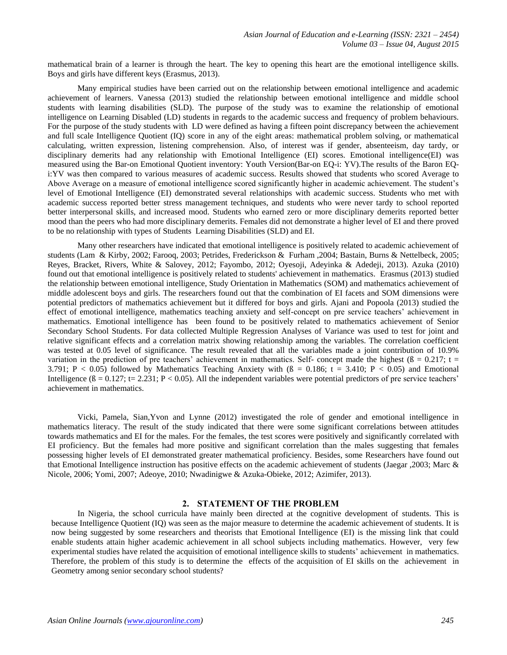mathematical brain of a learner is through the heart. The key to opening this heart are the emotional intelligence skills. Boys and girls have different keys (Erasmus, 2013).

Many empirical studies have been carried out on the relationship between emotional intelligence and academic achievement of learners. Vanessa (2013) studied the relationship between emotional intelligence and middle school students with learning disabilities (SLD). The purpose of the study was to examine the relationship of emotional intelligence on Learning Disabled (LD) students in regards to the academic success and frequency of problem behaviours. For the purpose of the study students with LD were defined as having a fifteen point discrepancy between the achievement and full scale Intelligence Quotient (IQ) score in any of the eight areas: mathematical problem solving, or mathematical calculating, written expression, listening comprehension. Also, of interest was if gender, absenteeism, day tardy, or disciplinary demerits had any relationship with Emotional Intelligence (EI) scores. Emotional intelligence(EI) was measured using the Bar-on Emotional Quotient inventory: Youth Version(Bar-on EQ-i: YV).The results of the Baron EQi:YV was then compared to various measures of academic success. Results showed that students who scored Average to Above Average on a measure of emotional intelligence scored significantly higher in academic achievement. The student's level of Emotional Intelligence (EI) demonstrated several relationships with academic success. Students who met with academic success reported better stress management techniques, and students who were never tardy to school reported better interpersonal skills, and increased mood. Students who earned zero or more disciplinary demerits reported better mood than the peers who had more disciplinary demerits. Females did not demonstrate a higher level of EI and there proved to be no relationship with types of Students Learning Disabilities (SLD) and EI.

Many other researchers have indicated that emotional intelligence is positively related to academic achievement of students (Lam & Kirby, 2002; Farooq, 2003; Petrides, Frederickson & Furham ,2004; Bastain, Burns & Nettelbeck, 2005; Reyes, Bracket, Rivers, White & Salovey, 2012; Fayombo, 2012; Oyesoji, Adeyinka & Adedeji, 2013). Azuka (2010) found out that emotional intelligence is positively related to students' achievement in mathematics. Erasmus (2013) studied the relationship between emotional intelligence, Study Orientation in Mathematics (SOM) and mathematics achievement of middle adolescent boys and girls. The researchers found out that the combination of EI facets and SOM dimensions were potential predictors of mathematics achievement but it differed for boys and girls. Ajani and Popoola (2013) studied the effect of emotional intelligence, mathematics teaching anxiety and self-concept on pre service teachers' achievement in mathematics. Emotional intelligence has been found to be positively related to mathematics achievement of Senior Secondary School Students. For data collected Multiple Regression Analyses of Variance was used to test for joint and relative significant effects and a correlation matrix showing relationship among the variables. The correlation coefficient was tested at 0.05 level of significance. The result revealed that all the variables made a joint contribution of 10.9% variation in the prediction of pre teachers' achievement in mathematics. Self- concept made the highest ( $\beta = 0.217$ ; t = 3.791; P < 0.05) followed by Mathematics Teaching Anxiety with  $(β = 0.186; t = 3.410; P < 0.05)$  and Emotional Intelligence  $(β = 0.127; t = 2.231; P < 0.05)$ . All the independent variables were potential predictors of pre service teachers' achievement in mathematics.

Vicki, Pamela, Sian,Yvon and Lynne (2012) investigated the role of gender and emotional intelligence in mathematics literacy. The result of the study indicated that there were some significant correlations between attitudes towards mathematics and EI for the males. For the females, the test scores were positively and significantly correlated with EI proficiency. But the females had more positive and significant correlation than the males suggesting that females possessing higher levels of EI demonstrated greater mathematical proficiency. Besides, some Researchers have found out that Emotional Intelligence instruction has positive effects on the academic achievement of students (Jaegar ,2003; Marc & Nicole, 2006; Yomi, 2007; Adeoye, 2010; Nwadinigwe & Azuka-Obieke, 2012; Azimifer, 2013).

#### **2. STATEMENT OF THE PROBLEM**

In Nigeria, the school curricula have mainly been directed at the cognitive development of students. This is because Intelligence Quotient (IQ) was seen as the major measure to determine the academic achievement of students. It is now being suggested by some researchers and theorists that Emotional Intelligence (EI) is the missing link that could enable students attain higher academic achievement in all school subjects including mathematics. However, very few experimental studies have related the acquisition of emotional intelligence skills to students' achievement in mathematics. Therefore, the problem of this study is to determine the effects of the acquisition of EI skills on the achievement in Geometry among senior secondary school students?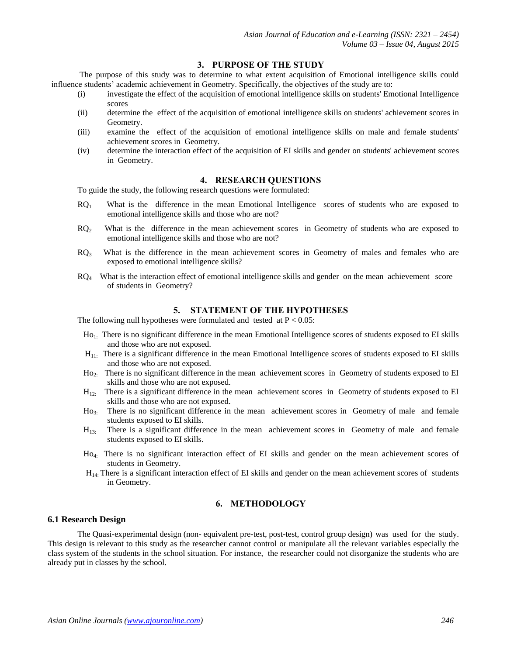# **3. PURPOSE OF THE STUDY**

The purpose of this study was to determine to what extent acquisition of Emotional intelligence skills could influence students' academic achievement in Geometry. Specifically, the objectives of the study are to:

- (i) investigate the effect of the acquisition of emotional intelligence skills on students' Emotional Intelligence scores
- (ii) determine the effect of the acquisition of emotional intelligence skills on students' achievement scores in Geometry.
- (iii) examine the effect of the acquisition of emotional intelligence skills on male and female students' achievement scores in Geometry.
- (iv) determine the interaction effect of the acquisition of EI skills and gender on students' achievement scores in Geometry.

## **4. RESEARCH QUESTIONS**

To guide the study, the following research questions were formulated:

- $RQ<sub>1</sub>$  What is the difference in the mean Emotional Intelligence scores of students who are exposed to emotional intelligence skills and those who are not?
- $RQ<sub>2</sub>$  What is the difference in the mean achievement scores in Geometry of students who are exposed to emotional intelligence skills and those who are not?
- $RO<sub>3</sub>$  What is the difference in the mean achievement scores in Geometry of males and females who are exposed to emotional intelligence skills?
- $RQ_4$  What is the interaction effect of emotional intelligence skills and gender on the mean achievement score of students in Geometry?

#### **5. STATEMENT OF THE HYPOTHESES**

The following null hypotheses were formulated and tested at  $P < 0.05$ :

- Ho<sub>1</sub>. There is no significant difference in the mean Emotional Intelligence scores of students exposed to EI skills and those who are not exposed.
- $H_{11}$ : There is a significant difference in the mean Emotional Intelligence scores of students exposed to EI skills and those who are not exposed.
- Ho2: There is no significant difference in the mean achievement scores in Geometry of students exposed to EI skills and those who are not exposed.
- $H_{12}$ : There is a significant difference in the mean achievement scores in Geometry of students exposed to EI skills and those who are not exposed.
- Ho3: There is no significant difference in the mean achievement scores in Geometry of male and female students exposed to EI skills.
- H13: There is a significant difference in the mean achievement scores in Geometry of male and female students exposed to EI skills.
- Ho4: There is no significant interaction effect of EI skills and gender on the mean achievement scores of students in Geometry.
- $H<sub>14</sub>$ : There is a significant interaction effect of EI skills and gender on the mean achievement scores of students in Geometry.

## **6. METHODOLOGY**

#### **6.1 Research Design**

The Quasi-experimental design (non- equivalent pre-test, post-test, control group design) was used for the study. This design is relevant to this study as the researcher cannot control or manipulate all the relevant variables especially the class system of the students in the school situation. For instance, the researcher could not disorganize the students who are already put in classes by the school.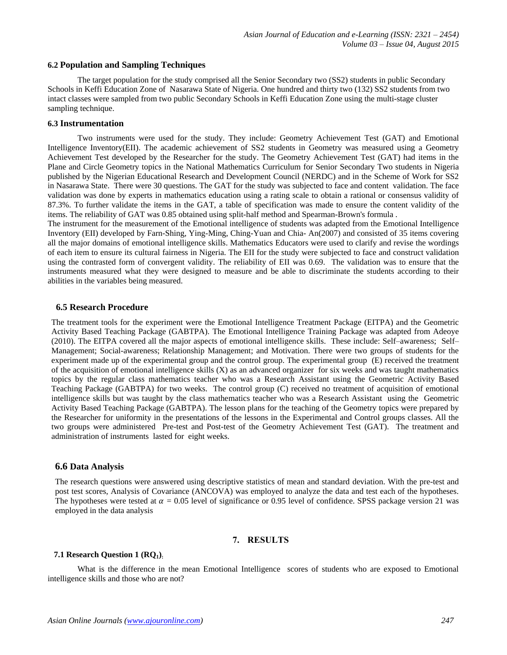#### **6.2 Population and Sampling Techniques**

The target population for the study comprised all the Senior Secondary two (SS2) students in public Secondary Schools in Keffi Education Zone of Nasarawa State of Nigeria. One hundred and thirty two (132) SS2 students from two intact classes were sampled from two public Secondary Schools in Keffi Education Zone using the multi-stage cluster sampling technique.

#### **6.3 Instrumentation**

Two instruments were used for the study. They include: Geometry Achievement Test (GAT) and Emotional Intelligence Inventory(EII). The academic achievement of SS2 students in Geometry was measured using a Geometry Achievement Test developed by the Researcher for the study. The Geometry Achievement Test (GAT) had items in the Plane and Circle Geometry topics in the National Mathematics Curriculum for Senior Secondary Two students in Nigeria published by the Nigerian Educational Research and Development Council (NERDC) and in the Scheme of Work for SS2 in Nasarawa State. There were 30 questions. The GAT for the study was subjected to face and content validation. The face validation was done by experts in mathematics education using a rating scale to obtain a rational or consensus validity of 87.3%. To further validate the items in the GAT, a table of specification was made to ensure the content validity of the items. The reliability of GAT was 0.85 obtained using split-half method and Spearman-Brown's formula .

The instrument for the measurement of the Emotional intelligence of students was adapted from the Emotional Intelligence Inventory (EII) developed by Farn-Shing, Ying-Ming, Ching-Yuan and Chia- An(2007) and consisted of 35 items covering all the major domains of emotional intelligence skills. Mathematics Educators were used to clarify and revise the wordings of each item to ensure its cultural fairness in Nigeria. The EII for the study were subjected to face and construct validation using the contrasted form of convergent validity. The reliability of EII was 0.69. The validation was to ensure that the instruments measured what they were designed to measure and be able to discriminate the students according to their abilities in the variables being measured.

#### **6.5 Research Procedure**

The treatment tools for the experiment were the Emotional Intelligence Treatment Package (EITPA) and the Geometric Activity Based Teaching Package (GABTPA). The Emotional Intelligence Training Package was adapted from Adeoye (2010). The EITPA covered all the major aspects of emotional intelligence skills. These include: Self–awareness; Self– Management; Social-awareness; Relationship Management; and Motivation. There were two groups of students for the experiment made up of the experimental group and the control group. The experimental group (E) received the treatment of the acquisition of emotional intelligence skills  $(X)$  as an advanced organizer for six weeks and was taught mathematics topics by the regular class mathematics teacher who was a Research Assistant using the Geometric Activity Based Teaching Package (GABTPA) for two weeks. The control group (C) received no treatment of acquisition of emotional intelligence skills but was taught by the class mathematics teacher who was a Research Assistant using the Geometric Activity Based Teaching Package (GABTPA). The lesson plans for the teaching of the Geometry topics were prepared by the Researcher for uniformity in the presentations of the lessons in the Experimental and Control groups classes. All the two groups were administered Pre-test and Post-test of the Geometry Achievement Test (GAT). The treatment and administration of instruments lasted for eight weeks.

#### **6.6 Data Analysis**

The research questions were answered using descriptive statistics of mean and standard deviation. With the pre-test and post test scores, Analysis of Covariance (ANCOVA) was employed to analyze the data and test each of the hypotheses. The hypotheses were tested at  $\alpha = 0.05$  level of significance or 0.95 level of confidence. SPSS package version 21 was employed in the data analysis

#### **7. RESULTS**

## **7.1 Research Question 1 (RQ1):**

What is the difference in the mean Emotional Intelligence scores of students who are exposed to Emotional intelligence skills and those who are not?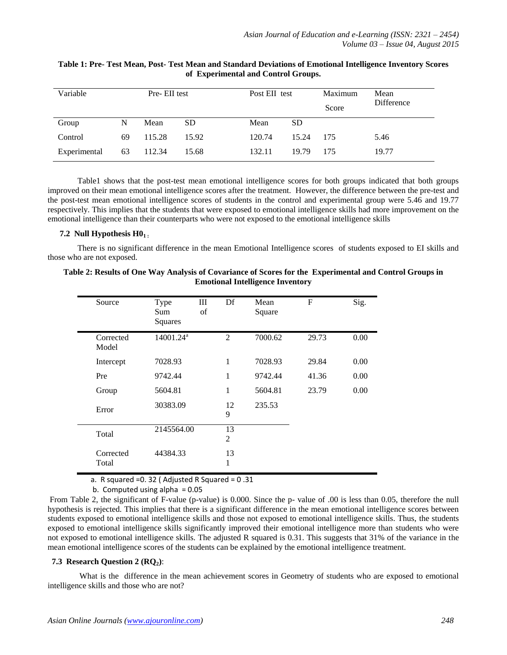| Variable     |    | Pre-EII test |           |        | Post EII test | Maximum<br>Score | Mean<br>Difference |
|--------------|----|--------------|-----------|--------|---------------|------------------|--------------------|
| Group        | N  | Mean         | <b>SD</b> | Mean   | SD.           |                  |                    |
| Control      | 69 | 115.28       | 15.92     | 120.74 | 15.24         | 175              | 5.46               |
| Experimental | 63 | 112.34       | 15.68     | 132.11 | 19.79         | 175              | 19.77              |

## **Table 1: Pre- Test Mean, Post- Test Mean and Standard Deviations of Emotional Intelligence Inventory Scores of Experimental and Control Groups.**

Table1 shows that the post-test mean emotional intelligence scores for both groups indicated that both groups improved on their mean emotional intelligence scores after the treatment. However, the difference between the pre-test and the post-test mean emotional intelligence scores of students in the control and experimental group were 5.46 and 19.77 respectively. This implies that the students that were exposed to emotional intelligence skills had more improvement on the emotional intelligence than their counterparts who were not exposed to the emotional intelligence skills

## **7.2 Null Hypothesis H01 :**

There is no significant difference in the mean Emotional Intelligence scores of students exposed to EI skills and those who are not exposed.

## **Table 2: Results of One Way Analysis of Covariance of Scores for the Experimental and Control Groups in Emotional Intelligence Inventory**

| Source             | Type<br>Sum<br>Squares | Ш<br>of | Df      | Mean<br>Square | $\mathbf{F}$ | Sig. |
|--------------------|------------------------|---------|---------|----------------|--------------|------|
| Corrected<br>Model | 14001.24 <sup>a</sup>  |         | 2       | 7000.62        | 29.73        | 0.00 |
| Intercept          | 7028.93                |         | 1       | 7028.93        | 29.84        | 0.00 |
| Pre                | 9742.44                |         | 1       | 9742.44        | 41.36        | 0.00 |
| Group              | 5604.81                |         | 1       | 5604.81        | 23.79        | 0.00 |
| Error              | 30383.09               |         | 12<br>9 | 235.53         |              |      |
| Total              | 2145564.00             |         | 13<br>2 |                |              |      |
| Corrected<br>Total | 44384.33               |         | 13<br>1 |                |              |      |

a. R squared =  $0.32$  (Adjusted R Squared =  $0.31$ 

b. Computed using alpha  $= 0.05$ 

From Table 2, the significant of F-value (p-value) is 0.000. Since the p- value of .00 is less than 0.05, therefore the null hypothesis is rejected. This implies that there is a significant difference in the mean emotional intelligence scores between students exposed to emotional intelligence skills and those not exposed to emotional intelligence skills. Thus, the students exposed to emotional intelligence skills significantly improved their emotional intelligence more than students who were not exposed to emotional intelligence skills. The adjusted R squared is 0.31. This suggests that 31% of the variance in the mean emotional intelligence scores of the students can be explained by the emotional intelligence treatment.

# **7.3 Research Question 2 (RQ2)**:

What is the difference in the mean achievement scores in Geometry of students who are exposed to emotional intelligence skills and those who are not?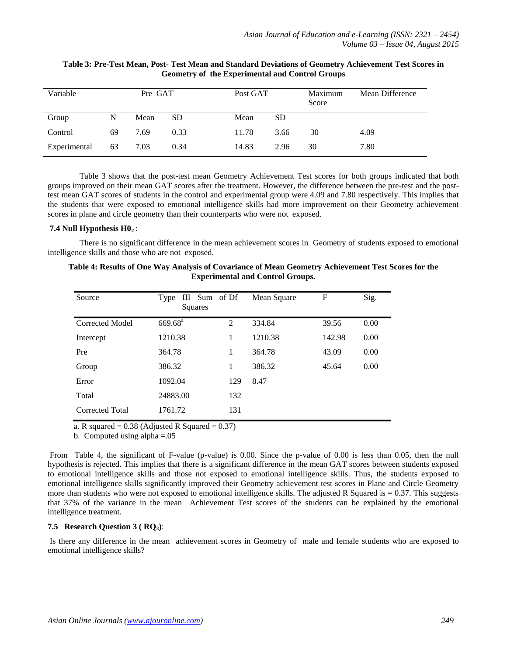| Variable     | Pre GAT |      | Post GAT  |       | Maximum<br>Score | Mean Difference |      |
|--------------|---------|------|-----------|-------|------------------|-----------------|------|
| Group        | N       | Mean | <b>SD</b> | Mean  | SD               |                 |      |
| Control      | 69      | 7.69 | 0.33      | 11.78 | 3.66             | 30              | 4.09 |
| Experimental | 63      | 7.03 | 0.34      | 14.83 | 2.96             | 30              | 7.80 |

# **Table 3: Pre-Test Mean, Post- Test Mean and Standard Deviations of Geometry Achievement Test Scores in Geometry of the Experimental and Control Groups**

Table 3 shows that the post-test mean Geometry Achievement Test scores for both groups indicated that both groups improved on their mean GAT scores after the treatment. However, the difference between the pre-test and the posttest mean GAT scores of students in the control and experimental group were 4.09 and 7.80 respectively. This implies that the students that were exposed to emotional intelligence skills had more improvement on their Geometry achievement scores in plane and circle geometry than their counterparts who were not exposed.

## **7.4 Null Hypothesis H02** :

There is no significant difference in the mean achievement scores in Geometry of students exposed to emotional intelligence skills and those who are not exposed.

| Source          | III Sum of Df<br>Type<br>Squares |     | Mean Square | F      | Sig. |
|-----------------|----------------------------------|-----|-------------|--------|------|
| Corrected Model | $669.68^{\text{a}}$              | 2   | 334.84      | 39.56  | 0.00 |
| Intercept       | 1210.38                          | 1   | 1210.38     | 142.98 | 0.00 |
| Pre             | 364.78                           | 1   | 364.78      | 43.09  | 0.00 |
| Group           | 386.32                           | 1   | 386.32      | 45.64  | 0.00 |
| Error           | 1092.04                          | 129 | 8.47        |        |      |
| Total           | 24883.00                         | 132 |             |        |      |
| Corrected Total | 1761.72                          | 131 |             |        |      |

**Table 4: Results of One Way Analysis of Covariance of Mean Geometry Achievement Test Scores for the Experimental and Control Groups.**

a. R squared =  $0.38$  (Adjusted R Squared =  $0.37$ )

b. Computed using alpha =.05

From Table 4, the significant of F-value (p-value) is 0.00. Since the p-value of 0.00 is less than 0.05, then the null hypothesis is rejected. This implies that there is a significant difference in the mean GAT scores between students exposed to emotional intelligence skills and those not exposed to emotional intelligence skills. Thus, the students exposed to emotional intelligence skills significantly improved their Geometry achievement test scores in Plane and Circle Geometry more than students who were not exposed to emotional intelligence skills. The adjusted R Squared is  $= 0.37$ . This suggests that 37% of the variance in the mean Achievement Test scores of the students can be explained by the emotional intelligence treatment.

# **7.5 Research Question 3 ( RQ3)**:

Is there any difference in the mean achievement scores in Geometry of male and female students who are exposed to emotional intelligence skills?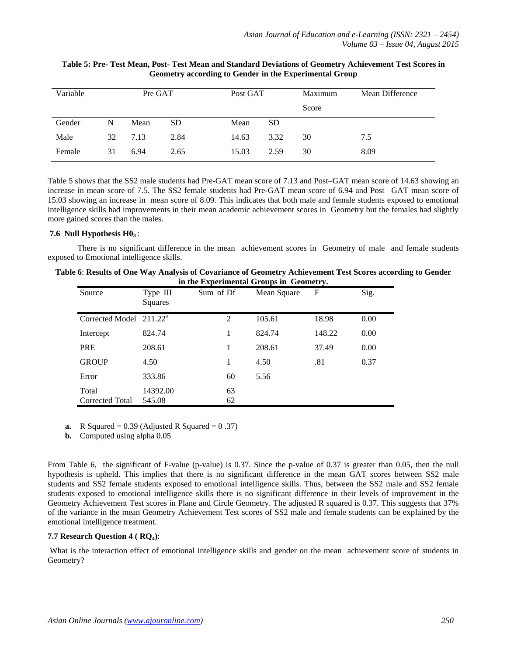| Variable |    | Pre GAT |           | Post GAT |      | Maximum | Mean Difference |
|----------|----|---------|-----------|----------|------|---------|-----------------|
|          |    |         |           |          |      | Score   |                 |
| Gender   | N  | Mean    | <b>SD</b> | Mean     | SD   |         |                 |
| Male     | 32 | 7.13    | 2.84      | 14.63    | 3.32 | 30      | 7.5             |
| Female   | 31 | 6.94    | 2.65      | 15.03    | 2.59 | 30      | 8.09            |

### **Table 5: Pre- Test Mean, Post- Test Mean and Standard Deviations of Geometry Achievement Test Scores in Geometry according to Gender in the Experimental Group**

Table 5 shows that the SS2 male students had Pre-GAT mean score of 7.13 and Post–GAT mean score of 14.63 showing an increase in mean score of 7.5. The SS2 female students had Pre-GAT mean score of 6.94 and Post –GAT mean score of 15.03 showing an increase in mean score of 8.09. This indicates that both male and female students exposed to emotional intelligence skills had improvements in their mean academic achievement scores in Geometry but the females had slightly more gained scores than the males.

#### **7.6 Null Hypothesis H03** :

There is no significant difference in the mean achievement scores in Geometry of male and female students exposed to Emotional intelligence skills.

| Table 6: Results of One Way Analysis of Covariance of Geometry Achievement Test Scores according to Gender |
|------------------------------------------------------------------------------------------------------------|
| in the Experimental Groups in Geometry.                                                                    |

| Source                              | Type III<br>Squares | Sum of Df | Mean Square | F      | Sig. |
|-------------------------------------|---------------------|-----------|-------------|--------|------|
| Corrected Model 211.22 <sup>a</sup> |                     | 2         | 105.61      | 18.98  | 0.00 |
| Intercept                           | 824.74              | 1         | 824.74      | 148.22 | 0.00 |
| <b>PRE</b>                          | 208.61              | 1         | 208.61      | 37.49  | 0.00 |
| <b>GROUP</b>                        | 4.50                | 1         | 4.50        | .81    | 0.37 |
| Error                               | 333.86              | 60        | 5.56        |        |      |
| Total<br>Corrected Total            | 14392.00<br>545.08  | 63<br>62  |             |        |      |

**a.** R Squared =  $0.39$  (Adjusted R Squared =  $0.37$ )

**b.** Computed using alpha 0.05

From Table 6, the significant of F-value (p-value) is 0.37. Since the p-value of 0.37 is greater than 0.05, then the null hypothesis is upheld. This implies that there is no significant difference in the mean GAT scores between SS2 male students and SS2 female students exposed to emotional intelligence skills. Thus, between the SS2 male and SS2 female students exposed to emotional intelligence skills there is no significant difference in their levels of improvement in the Geometry Achievement Test scores in Plane and Circle Geometry. The adjusted R squared is 0.37. This suggests that 37% of the variance in the mean Geometry Achievement Test scores of SS2 male and female students can be explained by the emotional intelligence treatment.

## **7.7 Research Question 4 ( RQ4)**:

What is the interaction effect of emotional intelligence skills and gender on the mean achievement score of students in Geometry?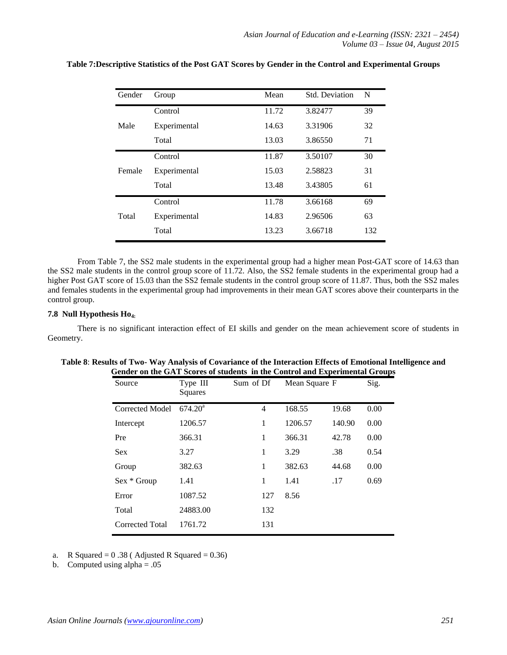| Gender | Group        | Mean  | <b>Std. Deviation</b> | N   |
|--------|--------------|-------|-----------------------|-----|
|        | Control      | 11.72 | 3.82477               | 39  |
| Male   | Experimental | 14.63 | 3.31906               | 32  |
|        | Total        | 13.03 | 3.86550               | 71  |
|        | Control      | 11.87 | 3.50107               | 30  |
| Female | Experimental | 15.03 | 2.58823               | 31  |
|        | Total        | 13.48 | 3.43805               | 61  |
|        | Control      | 11.78 | 3.66168               | 69  |
| Total  | Experimental | 14.83 | 2.96506               | 63  |
|        | Total        | 13.23 | 3.66718               | 132 |

## **Table 7:Descriptive Statistics of the Post GAT Scores by Gender in the Control and Experimental Groups**

From Table 7, the SS2 male students in the experimental group had a higher mean Post-GAT score of 14.63 than the SS2 male students in the control group score of 11.72. Also, the SS2 female students in the experimental group had a higher Post GAT score of 15.03 than the SS2 female students in the control group score of 11.87. Thus, both the SS2 males and females students in the experimental group had improvements in their mean GAT scores above their counterparts in the control group.

#### **7.8 Null Hypothesis Ho4:**

There is no significant interaction effect of EI skills and gender on the mean achievement score of students in Geometry.

| Source                 | Type III<br>Squares | Sum of Df      | Mean Square F |        | Sig. |
|------------------------|---------------------|----------------|---------------|--------|------|
| Corrected Model        | 674.20 <sup>a</sup> | $\overline{4}$ | 168.55        | 19.68  | 0.00 |
| Intercept              | 1206.57             | 1              | 1206.57       | 140.90 | 0.00 |
| Pre                    | 366.31              | 1              | 366.31        | 42.78  | 0.00 |
| Sex                    | 3.27                | 1              | 3.29          | .38    | 0.54 |
| Group                  | 382.63              | 1              | 382.63        | 44.68  | 0.00 |
| Sex * Group            | 1.41                | 1              | 1.41          | .17    | 0.69 |
| Error                  | 1087.52             | 127            | 8.56          |        |      |
| Total                  | 24883.00            | 132            |               |        |      |
| <b>Corrected Total</b> | 1761.72             | 131            |               |        |      |

|                                                                             | Table 8: Results of Two- Way Analysis of Covariance of the Interaction Effects of Emotional Intelligence and |
|-----------------------------------------------------------------------------|--------------------------------------------------------------------------------------------------------------|
| Gender on the GAT Scores of students in the Control and Experimental Groups |                                                                                                              |

a. R Squared =  $0.38$  (Adjusted R Squared = 0.36)

b. Computed using alpha  $= .05$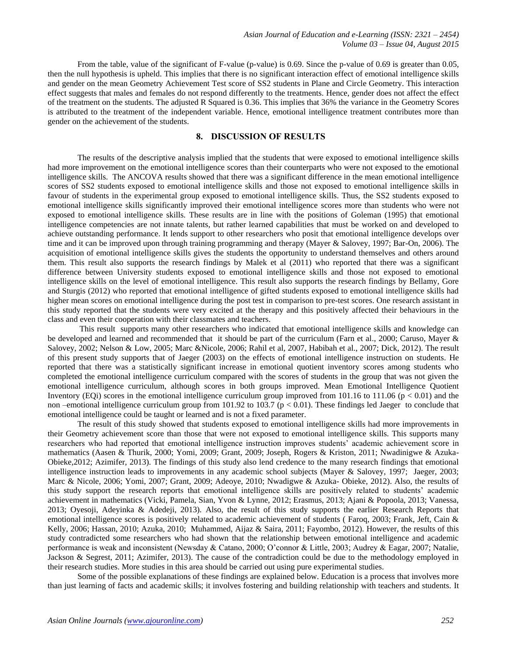From the table, value of the significant of F-value (p-value) is 0.69. Since the p-value of 0.69 is greater than 0.05, then the null hypothesis is upheld. This implies that there is no significant interaction effect of emotional intelligence skills and gender on the mean Geometry Achievement Test score of SS2 students in Plane and Circle Geometry. This interaction effect suggests that males and females do not respond differently to the treatments. Hence, gender does not affect the effect of the treatment on the students. The adjusted R Squared is 0.36. This implies that 36% the variance in the Geometry Scores is attributed to the treatment of the independent variable. Hence, emotional intelligence treatment contributes more than gender on the achievement of the students.

# **8. DISCUSSION OF RESULTS**

The results of the descriptive analysis implied that the students that were exposed to emotional intelligence skills had more improvement on the emotional intelligence scores than their counterparts who were not exposed to the emotional intelligence skills. The ANCOVA results showed that there was a significant difference in the mean emotional intelligence scores of SS2 students exposed to emotional intelligence skills and those not exposed to emotional intelligence skills in favour of students in the experimental group exposed to emotional intelligence skills. Thus, the SS2 students exposed to emotional intelligence skills significantly improved their emotional intelligence scores more than students who were not exposed to emotional intelligence skills. These results are in line with the positions of Goleman (1995) that emotional intelligence competencies are not innate talents, but rather learned capabilities that must be worked on and developed to achieve outstanding performance. It lends support to other researchers who posit that emotional intelligence develops over time and it can be improved upon through training programming and therapy (Mayer & Salovey, 1997; Bar-On, 2006). The acquisition of emotional intelligence skills gives the students the opportunity to understand themselves and others around them. This result also supports the research findings by Malek et al (2011) who reported that there was a significant difference between University students exposed to emotional intelligence skills and those not exposed to emotional intelligence skills on the level of emotional intelligence. This result also supports the research findings by Bellamy, Gore and Sturgis (2012) who reported that emotional intelligence of gifted students exposed to emotional intelligence skills had higher mean scores on emotional intelligence during the post test in comparison to pre-test scores. One research assistant in this study reported that the students were very excited at the therapy and this positively affected their behaviours in the class and even their cooperation with their classmates and teachers.

This result supports many other researchers who indicated that emotional intelligence skills and knowledge can be developed and learned and recommended that it should be part of the curriculum (Farn et al., 2000; Caruso, Mayer & Salovey, 2002; Nelson & Low, 2005; Marc &Nicole, 2006; Rahil et al, 2007, Habibah et al., 2007; Dick, 2012). The result of this present study supports that of Jaeger (2003) on the effects of emotional intelligence instruction on students. He reported that there was a statistically significant increase in emotional quotient inventory scores among students who completed the emotional intelligence curriculum compared with the scores of students in the group that was not given the emotional intelligence curriculum, although scores in both groups improved. Mean Emotional Intelligence Quotient Inventory (EQi) scores in the emotional intelligence curriculum group improved from 101.16 to 111.06 ( $p < 0.01$ ) and the non –emotional intelligence curriculum group from 101.92 to 103.7 ( $p < 0.01$ ). These findings led Jaeger to conclude that emotional intelligence could be taught or learned and is not a fixed parameter.

The result of this study showed that students exposed to emotional intelligence skills had more improvements in their Geometry achievement score than those that were not exposed to emotional intelligence skills. This supports many researchers who had reported that emotional intelligence instruction improves students' academic achievement score in mathematics (Aasen & Thurik, 2000; Yomi, 2009; Grant, 2009; Joseph, Rogers & Kriston, 2011; Nwadinigwe & Azuka-Obieke,2012; Azimifer, 2013). The findings of this study also lend credence to the many research findings that emotional intelligence instruction leads to improvements in any academic school subjects (Mayer & Salovey, 1997; Jaeger, 2003; Marc & Nicole, 2006; Yomi, 2007; Grant, 2009; Adeoye, 2010; Nwadigwe & Azuka- Obieke, 2012). Also, the results of this study support the research reports that emotional intelligence skills are positively related to students' academic achievement in mathematics (Vicki, Pamela, Sian, Yvon & Lynne, 2012; Erasmus, 2013; Ajani & Popoola, 2013; Vanessa, 2013; Oyesoji, Adeyinka & Adedeji, 2013). Also, the result of this study supports the earlier Research Reports that emotional intelligence scores is positively related to academic achievement of students (Faroq, 2003; Frank, Jeft, Cain & Kelly, 2006; Hassan, 2010; Azuka, 2010; Muhammed, Aijaz & Saira, 2011; Fayombo, 2012). However, the results of this study contradicted some researchers who had shown that the relationship between emotional intelligence and academic performance is weak and inconsistent (Newsday & Catano, 2000; O'connor & Little, 2003; Audrey & Eagar, 2007; Natalie, Jackson & Segrest, 2011; Azimifer, 2013). The cause of the contradiction could be due to the methodology employed in their research studies. More studies in this area should be carried out using pure experimental studies.

Some of the possible explanations of these findings are explained below. Education is a process that involves more than just learning of facts and academic skills; it involves fostering and building relationship with teachers and students. It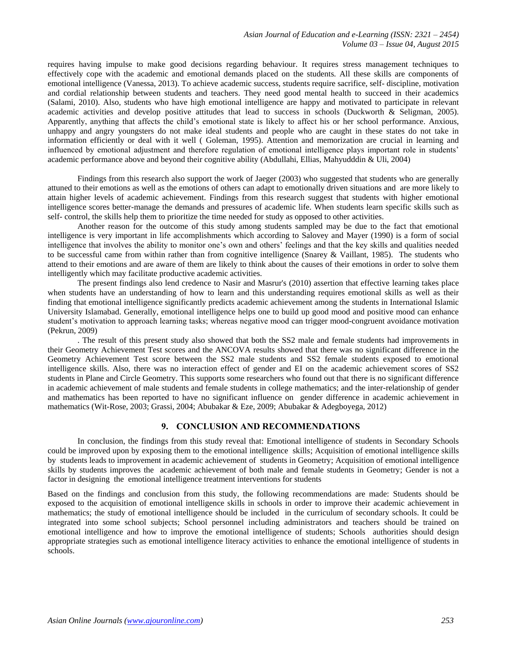requires having impulse to make good decisions regarding behaviour. It requires stress management techniques to effectively cope with the academic and emotional demands placed on the students. All these skills are components of emotional intelligence (Vanessa, 2013). To achieve academic success, students require sacrifice, self- discipline, motivation and cordial relationship between students and teachers. They need good mental health to succeed in their academics (Salami, 2010). Also, students who have high emotional intelligence are happy and motivated to participate in relevant academic activities and develop positive attitudes that lead to success in schools (Duckworth & Seligman, 2005). Apparently, anything that affects the child's emotional state is likely to affect his or her school performance. Anxious, unhappy and angry youngsters do not make ideal students and people who are caught in these states do not take in information efficiently or deal with it well ( Goleman, 1995). Attention and memorization are crucial in learning and influenced by emotional adjustment and therefore regulation of emotional intelligence plays important role in students' academic performance above and beyond their cognitive ability (Abdullahi, Ellias, Mahyudddin & Uli, 2004)

Findings from this research also support the work of Jaeger (2003) who suggested that students who are generally attuned to their emotions as well as the emotions of others can adapt to emotionally driven situations and are more likely to attain higher levels of academic achievement. Findings from this research suggest that students with higher emotional intelligence scores better-manage the demands and pressures of academic life. When students learn specific skills such as self- control, the skills help them to prioritize the time needed for study as opposed to other activities.

Another reason for the outcome of this study among students sampled may be due to the fact that emotional intelligence is very important in life accomplishments which according to Salovey and Mayer (1990) is a form of social intelligence that involves the ability to monitor one's own and others' feelings and that the key skills and qualities needed to be successful came from within rather than from cognitive intelligence (Snarey & Vaillant, 1985). The students who attend to their emotions and are aware of them are likely to think about the causes of their emotions in order to solve them intelligently which may facilitate productive academic activities.

The present findings also lend credence to Nasir and Masrur's (2010) assertion that effective learning takes place when students have an understanding of how to learn and this understanding requires emotional skills as well as their finding that emotional intelligence significantly predicts academic achievement among the students in International Islamic University Islamabad. Generally, emotional intelligence helps one to build up good mood and positive mood can enhance student's motivation to approach learning tasks; whereas negative mood can trigger mood-congruent avoidance motivation (Pekrun, 2009)

. The result of this present study also showed that both the SS2 male and female students had improvements in their Geometry Achievement Test scores and the ANCOVA results showed that there was no significant difference in the Geometry Achievement Test score between the SS2 male students and SS2 female students exposed to emotional intelligence skills. Also, there was no interaction effect of gender and EI on the academic achievement scores of SS2 students in Plane and Circle Geometry. This supports some researchers who found out that there is no significant difference in academic achievement of male students and female students in college mathematics; and the inter-relationship of gender and mathematics has been reported to have no significant influence on gender difference in academic achievement in mathematics (Wit-Rose, 2003; Grassi, 2004; Abubakar & Eze, 2009; Abubakar & Adegboyega, 2012)

#### **9. CONCLUSION AND RECOMMENDATIONS**

In conclusion, the findings from this study reveal that: Emotional intelligence of students in Secondary Schools could be improved upon by exposing them to the emotional intelligence skills; Acquisition of emotional intelligence skills by students leads to improvement in academic achievement of students in Geometry; Acquisition of emotional intelligence skills by students improves the academic achievement of both male and female students in Geometry; Gender is not a factor in designing the emotional intelligence treatment interventions for students

Based on the findings and conclusion from this study, the following recommendations are made: Students should be exposed to the acquisition of emotional intelligence skills in schools in order to improve their academic achievement in mathematics; the study of emotional intelligence should be included in the curriculum of secondary schools. It could be integrated into some school subjects; School personnel including administrators and teachers should be trained on emotional intelligence and how to improve the emotional intelligence of students; Schools authorities should design appropriate strategies such as emotional intelligence literacy activities to enhance the emotional intelligence of students in schools.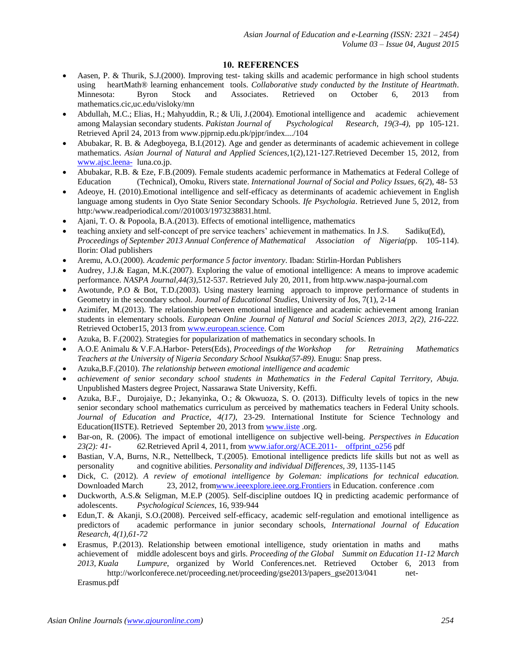# **10. REFERENCES**

- Aasen, P. & Thurik, S.J.(2000). Improving test- taking skills and academic performance in high school students using heartMath® learning enhancement tools. *Collaborative study conducted by the Institute of Heartmath*. Minnesota: Byron Stock and Associates. Retrieved on October 6, 2013 from mathematics.cic,uc.edu/visloky/mn
- Abdullah, M.C.; Elias, H.; Mahyuddin, R.; & Uli, J.(2004). Emotional intelligence and academic achievement among Malaysian secondary students. *Pakistan Journal of Psychological Research, 19(3-4)*, pp 105-121. Retrieved April 24, 2013 from www.pjprnip.edu.pk/pjpr/index..../104
- Abubakar, R. B. & Adegboyega, B.I.(2012). Age and gender as determinants of academic achievement in college mathematics. *Asian Journal of Natural and Applied Sciences,*1(2),121-127.Retrieved December 15, 2012, from [www.ajsc.leena-](http://www.ajsc.leena-/) luna.co.jp.
- Abubakar, R.B. & Eze, F.B.(2009). Female students academic performance in Mathematics at Federal College of Education (Technical), Omoku, Rivers state. *International Journal of Social and Policy Issues, 6(2*), 48- 53
- Adeoye, H. (2010).Emotional intelligence and self-efficacy as determinants of academic achievement in English language among students in Oyo State Senior Secondary Schools. *Ife Psychologia*. Retrieved June 5, 2012, from http:/www.readperiodical.com//201003/1973238831.html.
- Ajani, T. O. & Popoola, B.A.(2013). Effects of emotional intelligence, mathematics
- teaching anxiety and self-concept of pre service teachers' achievement in mathematics. In J.S. Sadiku(Ed), *Proceedings of September 2013 Annual Conference of Mathematical Association of Nigeria(*pp. 105-114). Ilorin: Olad publishers
- Aremu, A.O.(2000). *Academic performance 5 factor inventory*. Ibadan: Stirlin-Hordan Publishers
- Audrey, J.J.& Eagan, M.K.(2007). Exploring the value of emotional intelligence: A means to improve academic performance. *NASPA Journal,44(3),*512-537. Retrieved July 20, 2011, from http.www.naspa-journal.com
- Awotunde, P.O & Bot, T.D.(2003). Using mastery learning approach to improve performance of students in Geometry in the secondary school. *Journal of Educational Studies*, University of Jos, 7(1), 2-14
- Azimifer, M.(2013). The relationship between emotional intelligence and academic achievement among Iranian students in elementary schools. *European Online Journal of Natural and Social Sciences 2013, 2(2), 216-222.* Retrieved October15, 2013 fro[m www.european.science.](http://www.european.science/) Com
- Azuka, B. F.(2002). Strategies for popularization of mathematics in secondary schools. In
- A.O.E Animalu & V.F.A.Harbor- Peters(Eds), *Proceedings of the Workshop for Retraining Mathematics Teachers at the University of Nigeria Secondary School Nsukka(57-89).* Enugu: Snap press.
- Azuka,B.F.(2010). *The relationship between emotional intelligence and academic*
- *achievement of senior secondary school students in Mathematics in the Federal Capital Territory, Abuja.* Unpublished Masters degree Project*,* Nassarawa State University, Keffi.
- Azuka, B.F., Durojaiye, D.; Jekanyinka, O.; & Okwuoza, S. O. (2013). Difficulty levels of topics in the new senior secondary school mathematics curriculum as perceived by mathematics teachers in Federal Unity schools. *Journal of Education and Practice, 4(17)*, 23-29. International Institute for Science Technology and Education(IISTE). Retrieved September 20, 2013 from [www.iiste](http://www.iiste/) .org.
- Bar-on, R. (2006). The impact of emotional intelligence on subjective well-being. *Perspectives in Education 23(2): 41- 62.*Retrieved April 4, 2011, from [www.iafor.org/ACE.2011-](http://www.iafor.org/ACE.2011-%09offprint_o256) offprint\_o256 pdf
- Bastian, V.A, Burns, N.R., Nettellbeck, T.(2005). Emotional intelligence predicts life skills but not as well as personality and cognitive abilities. *Personality and individual Differences, 39*, 1135-1145
- Dick, C. (2012). *A review of emotional intelligence by Goleman: implications for technical education.*  Downloaded March 23, 2012, fromwww.ieeexplore.ieee.org.Frontiers in Education. conference .com
- Duckworth, A.S.& Seligman, M.E.P (2005). Self-discipline outdoes IQ in predicting academic performance of adolescents. *Psychological Sciences*, 16, 939-944
- Edun,T. & Akanji, S.O.(2008). Perceived self-efficacy, academic self-regulation and emotional intelligence as predictors of academic performance in junior secondary schools, *International Journal of Education Research, 4(1),61-72*
- Erasmus, P.(2013). Relationship between emotional intelligence, study orientation in maths and maths achievement of middle adolescent boys and girls. *Proceeding of the Global Summit on Education 11-12 March 2013, Kuala Lumpure*, organized by World Conferences.net. Retrieved October 6, 2013 from http://worlconferece.net/proceeding.net/proceeding/gse2013/papers\_gse2013/041 net-Erasmus.pdf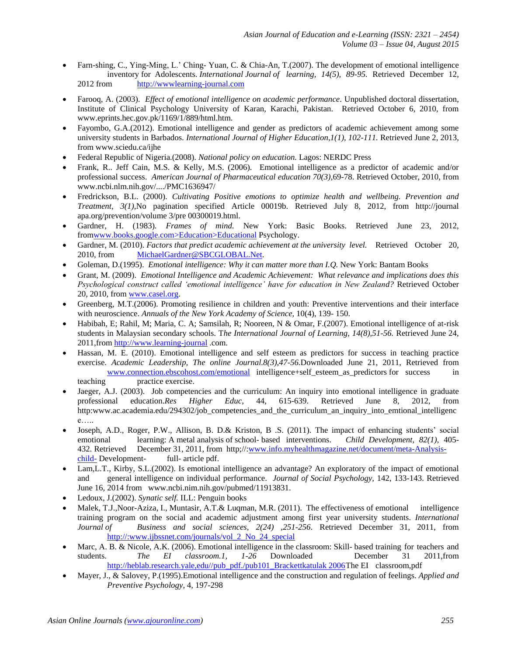- Farn-shing, C., Ying-Ming, L.' Ching-Yuan, C. & Chia-An, T.(2007). The development of emotional intelligence inventory for Adolescents. *International Journal of learning, 14(5), 89-95.* Retrieved December 12, 2012 from [http://wwwlearning-journal.com](http://wwwlearning-journal.com/)
- Farooq, A. (2003). *Effect of emotional intelligence on academic performance*. Unpublished doctoral dissertation, Institute of Clinical Psychology University of Karan, Karachi, Pakistan. Retrieved October 6, 2010, from www.eprints.hec.gov.pk/1169/1/889/html.htm.
- Fayombo, G.A.(2012). Emotional intelligence and gender as predictors of academic achievement among some university students in Barbados. *International Journal of Higher Education,1(1), 102-111.* Retrieved June 2, 2013, from www.sciedu.ca/ijhe
- Federal Republic of Nigeria.(2008). *National policy on education.* Lagos: NERDC Press
- Frank, R.. Jeff Cain, M.S. & Kelly, M.S. (2006). Emotional intelligence as a predictor of academic and/or professional success. *American Journal of Pharmaceutical education 70(3)*,69-78. Retrieved October, 2010, from www.ncbi.nlm.nih.gov/..../PMC1636947/
- Fredrickson, B.L. (2000). *Cultivating Positive emotions to optimize health and wellbeing. Prevention and Treatment, 3(1),*No pagination specified Article 00019b. Retrieved July 8, 2012, from http://journal apa.org/prevention/volume 3/pre 00300019.html.
- Gardner, H. (1983)*. Frames of mind.* New York: Basic Books. Retrieved June 23, 2012, fromwww.books.google.com>Education>Educational Psychology.
- Gardner, M. (2010). *Factors that predict academic achievement at the university level.* Retrieved October 20, 2010, from [MichaelGardner@SBCGLOBAL.Net.](mailto:MichaelGardner@SBCGLOBAL.Net)
- Goleman, D.(1995). *Emotional intelligence: Why it can matter more than I.Q.* New York: Bantam Books
- Grant, M. (2009). *Emotional Intelligence and Academic Achievement: What relevance and implications does this Psychological construct called 'emotional intelligence' have for education in New Zealand?* Retrieved October 20, 2010, fro[m www.casel.org.](http://www.casel.org/)
- Greenberg, M.T.(2006). Promoting resilience in children and youth: Preventive interventions and their interface with neuroscience. *Annuals of the New York Academy of Science,* 10(4), 139- 150.
- Habibah, E; Rahil, M; Maria, C. A; Samsilah, R; Nooreen, N & Omar, F.(2007). Emotional intelligence of at-risk students in Malaysian secondary schools. T*he International Journal of Learning, 14(8),51-56.* Retrieved June 24, 2011,from [http://www.learning-journal](http://www.learning-journal/) .com.
- Hassan, M. E. (2010). Emotional intelligence and self esteem as predictors for success in teaching practice exercise. *Academic Leadership, The online Journal.8(3),47-56.*Downloaded June 21, 2011, Retrieved from [www.connection.ebscohost.com/emotional](http://www.connection.ebscohost.com/emotional) intelligence+self esteem as predictors for success in teaching practice exercise.
- Jaeger, A.J. (2003). Job competencies and the curriculum: An inquiry into emotional intelligence in graduate professional education.*Res Higher Educ,* 44, 615-639. Retrieved June 8, 2012, from http:www.ac.academia.edu/294302/job\_competencies\_and\_the\_curriculum\_an\_inquiry\_into\_emtional\_intelligenc e…..
- Joseph, A.D., Roger, P.W., Allison, B. D.& Kriston, B .S. (2011). The impact of enhancing students' social emotional learning: A metal analysis of school- based interventions. *Child Development, 82(1)*, 405- 432. Retrieved December 31, 2011, from http;//[:www.info.myhealthmagazine.net/document/meta-Analysis](http://www.info.myhealthmagazine.net/document/meta-%09Analysis-child-)[child-](http://www.info.myhealthmagazine.net/document/meta-%09Analysis-child-) Development- full- article pdf.
- Lam,L.T., Kirby, S.L.(2002). Is emotional intelligence an advantage? An exploratory of the impact of emotional and general intelligence on individual performance. *Journal of Social Psychology,* 142, 133-143. Retrieved June 16, 2014 from www.ncbi.nim.nih.gov/pubmed/11913831.
- Ledoux, J.(2002). *Synatic self.* ILL: Penguin books
- Malek, T.J.,Noor-Aziza, I., Muntasir, A.T.& Luqman, M.R. (2011). The effectiveness of emotional intelligence training program on the social and academic adjustment among first year university students. *International Journal of Business and social sciences, 2(24) ,251-256*. Retrieved December 31, 2011, from http://:www.ijbssnet.com/journals/vol\_2\_No\_24\_special
- Marc, A. B. & Nicole, A.K. (2006). Emotional intelligence in the classroom: Skill- based training for teachers and students. *The EI classroom.1, 1-26* Downloaded December 31 2011,from http://heblab.research.yale.edu//pub\_pdf./pub101\_Brackettkatulak 2006The EI classroom,pdf
- Mayer, J., & Salovey, P.(1995).Emotional intelligence and the construction and regulation of feelings. *Applied and Preventive Psychology,* 4, 197-298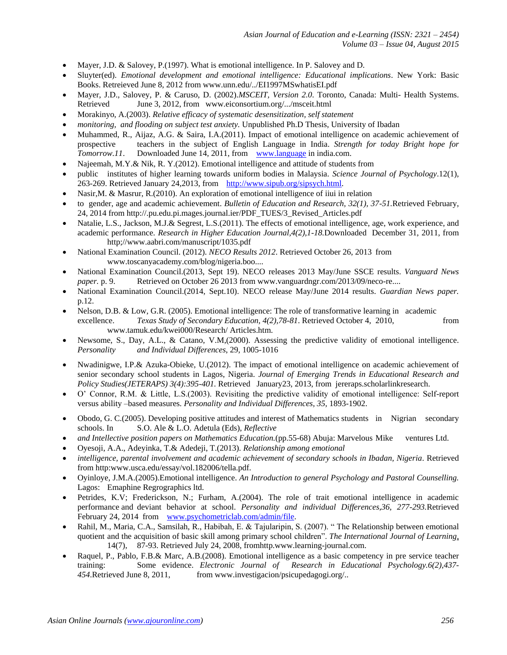- Mayer, J.D. & Salovey, P.(1997). What is emotional intelligence. In P. Salovey and D.
- Sluyter(ed). *Emotional development and emotional intelligence: Educational implications*. New York: Basic Books. Retreieved June 8, 2012 from www.unn.edu/../EI1997MSwhatisEI.pdf
- Mayer, J.D., Salovey, P. & Caruso, D. (2002).*MSCEIT, Version 2.0*. Toronto, Canada: Multi- Health Systems. Retrieved June 3, 2012, from www.eiconsortium.org/.../msceit.html
- Morakinyo, A.(2003). *Relative efficacy of systematic desensitization, self statement*
- *monitoring, and flooding on subject test anxiety.* Unpublished Ph.D Thesis, University of Ibadan
- Muhammed, R., Aijaz, A.G. & Saira, I.A.(2011). Impact of emotional intelligence on academic achievement of prospective teachers in the subject of English Language in India. *Strength for today Bright hope for Tomorrow.11.* Downloaded June 14, 2011, from [www.language](http://www.language/) in india.com.
- Najeemah, M.Y.& Nik, R. Y.(2012). Emotional intelligence and attitude of students from
- public institutes of higher learning towards uniform bodies in Malaysia. *Science Journal of Psychology*.12(1), 263-269. Retrieved January 24,2013, from [http://www.sipub.org/sipsych.html.](http://www.sipub.org/sipsych.html)
- Nasir,M. & Masrur, R.(2010). An exploration of emotional intelligence of iiui in relation
- to gender, age and academic achievement. *Bulletin of Education and Research, 32(1), 37-51.*Retrieved February, 24, 2014 from http://.pu.edu.pi.mages.journal.ier/PDF\_TUES/3\_Revised\_Articles.pdf
- Natalie, L.S., Jackson, M.J.& Segrest, L.S.(2011). The effects of emotional intelligence, age, work experience, and academic performance. *Research in Higher Education Journal,4(2),1-18.*Downloaded December 31, 2011, from http;//www.aabri.com/manuscript/1035.pdf
- National Examination Council. (2012). *NECO Results 2012*. Retrieved October 26, 2013 from www.toscanyacademy.com/blog/nigeria.boo....
- National Examination Council.(2013, Sept 19). NECO releases 2013 May/June SSCE results. *Vanguard News paper.* p. 9. Retrieved on October 26 2013 from www.vanguardngr.com/2013/09/neco-re....
- National Examination Council.(2014, Sept.10). NECO release May/June 2014 results. *Guardian News paper.* p.12.
- Nelson, D.B. & Low, G.R. (2005). Emotional intelligence: The role of transformative learning in academic excellence. *Texas Study of Secondary Education, 4(2),78-81*. Retrieved October 4, 2010, from www.tamuk.edu/kwei000/Research/ Articles.htm.
- Newsome, S., Day, A.L., & Catano, V.M,(2000). Assessing the predictive validity of emotional intelligence. *Personality and Individual Differences*, 29, 1005-1016
- Nwadinigwe, I.P.& Azuka-Obieke, U.(2012). The impact of emotional intelligence on academic achievement of senior secondary school students in Lagos, Nigeria. *Journal of Emerging Trends in Educational Research and Policy Studies(JETERAPS) 3(4):395-401.* Retrieved January23, 2013, from jereraps.scholarlinkresearch.
- O' Connor, R.M. & Little, L.S.(2003). Revisiting the predictive validity of emotional intelligence: Self-report versus ability –based measures. *Personality and Individual Differences, 35,* 1893-1902.
- Obodo, G. C.(2005). Developing positive attitudes and interest of Mathematics students in Nigrian secondary schools. In S.O. Ale & L.O. Adetula (Eds), *Reflective*
- *and Intellective position papers on Mathematics Education.*(pp.55-68) Abuja: Marvelous Mike ventures Ltd.
- Oyesoji, A.A., Adeyinka, T.& Adedeji, T.(2013). *Relationship among emotional*
- *intelligence, parental involvement and academic achievement of secondary schools in Ibadan, Nigeria*. Retrieved from http:www.usca.edu/essay/vol.182006/tella.pdf.
- Oyinloye, J.M.A.(2005).Emotional intelligence. *An Introduction to general Psychology and Pastoral Counselling.* Lagos: Emaphine Regrographics ltd.
- Petrides, K.V; Frederickson, N.; Furham, A.(2004). The role of trait emotional intelligence in academic performance and deviant behavior at school. *Personality and individual Differences,36, 277-293.*Retrieved February 24, 2014 from [www.psychometriclab.com/admin/file.](http://www.psychometriclab.com/admin/file)
- Rahil, M., Maria, C.A., Samsilah, R., Habibah, E. & Tajularipin, S. (2007). "The Relationship between emotional quotient and the acquisition of basic skill among primary school children". *The International Journal of Learning,* 14(7), 87-93. Retrieved July 24, 2008, fromhttp.www.learning-journal.com.
- Raquel, P., Pablo, F.B.& Marc, A.B.(2008). Emotional intelligence as a basic competency in pre service teacher training: Some evidence. *Electronic Journal of Research in Educational Psychology.6(2),437- 454*.Retrieved June 8, 2011, from www.investigacion/psicupedagogi.org/..